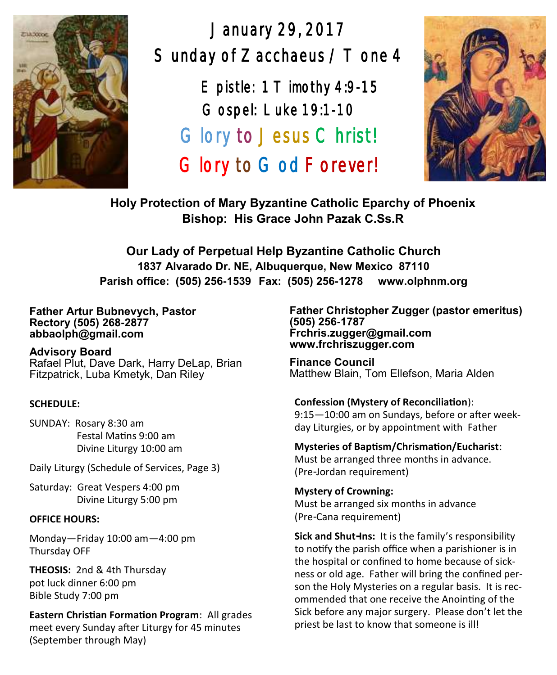

January 29, 2017 Sunday of Zacchaeus / T one 4

> $E$  pistle: 1 T imothy 4:9-15 Gospel: Luke 19:1-10 Glory to Jesus Christ! Glory to God Forever!



**Holy Protection of Mary Byzantine Catholic Eparchy of Phoenix Bishop: His Grace John Pazak C.Ss.R**

**Our Lady of Perpetual Help Byzantine Catholic Church 1837 Alvarado Dr. NE, Albuquerque, New Mexico 87110 Parish office: (505) 256-1539 Fax: (505) 256-1278 www.olphnm.org**

#### **Father Artur Bubnevych, Pastor Rectory (505) 268-2877 abbaolph@gmail.com**

**Advisory Board**  Rafael Plut, Dave Dark, Harry DeLap, Brian Fitzpatrick, Luba Kmetyk, Dan Riley

#### **SCHEDULE:**

SUNDAY: Rosary 8:30 am Festal Matins 9:00 am Divine Liturgy 10:00 am

Daily Liturgy (Schedule of Services, Page 3)

Saturday: Great Vespers 4:00 pm Divine Liturgy 5:00 pm

#### **OFFICE HOURS:**

Monday—Friday 10:00 am—4:00 pm Thursday OFF

**THEOSIS:** 2nd & 4th Thursday pot luck dinner 6:00 pm Bible Study 7:00 pm

**Eastern Christian Formation Program**: All grades meet every Sunday after Liturgy for 45 minutes (September through May)

**Father Christopher Zugger (pastor emeritus) (505) 256-1787 Frchris.zugger@gmail.com www.frchriszugger.com** 

**Finance Council**  Matthew Blain, Tom Ellefson, Maria Alden

#### **Confession (Mystery of Reconciliation**):

9:15—10:00 am on Sundays, before or after weekday Liturgies, or by appointment with Father

#### **Mysteries of Baptism/Chrismation/Eucharist**:

Must be arranged three months in advance. (Pre-Jordan requirement)

#### **Mystery of Crowning:**

Must be arranged six months in advance (Pre-Cana requirement)

**Sick and Shut-Ins:** It is the family's responsibility to notify the parish office when a parishioner is in the hospital or confined to home because of sickness or old age. Father will bring the confined person the Holy Mysteries on a regular basis. It is recommended that one receive the Anointing of the Sick before any major surgery. Please don't let the priest be last to know that someone is ill!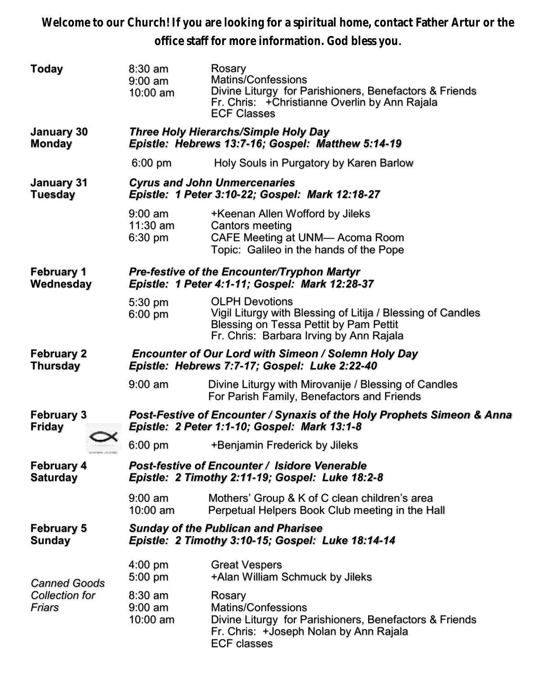**Welcome to our Church! If you are looking for a spiritual home, contact Father Artur or the office staff for more information. God bless you.**

| Today                                           | $8:30$ am<br>$9:00$ am<br>10:00 am                                                                                     | Rosary<br>Matins/Confessions<br>Divine Liturgy for Parishioners, Benefactors & Friends<br>Fr. Chris: + Christianne Overlin by Ann Rajala<br><b>ECF Classes</b>            |  |  |
|-------------------------------------------------|------------------------------------------------------------------------------------------------------------------------|---------------------------------------------------------------------------------------------------------------------------------------------------------------------------|--|--|
| January 30<br><b>Monday</b>                     | Three Holy Hierarchs/Simple Holy Day<br>Epistle: Hebrews 13:7-16; Gospel: Matthew 5:14-19                              |                                                                                                                                                                           |  |  |
|                                                 | $6:00$ pm                                                                                                              | Holy Souls in Purgatory by Karen Barlow                                                                                                                                   |  |  |
| January 31<br><b>Tuesday</b>                    | <b>Cyrus and John Unmercenaries</b><br>Epistle: 1 Peter 3:10-22; Gospel: Mark 12:18-27                                 |                                                                                                                                                                           |  |  |
|                                                 | $9:00 \text{ am}$<br>11:30 am<br>6:30 pm                                                                               | +Keenan Allen Wofford by Jileks<br><b>Cantors meeting</b><br>CAFE Meeting at UNM- Acoma Room<br>Topic: Galileo in the hands of the Pope                                   |  |  |
| <b>February 1</b><br>Wednesday                  | <b>Pre-festive of the Encounter/Tryphon Martyr</b><br>Epistle: 1 Peter 4:1-11; Gospel: Mark 12:28-37                   |                                                                                                                                                                           |  |  |
|                                                 | 5:30 pm<br>6:00 pm                                                                                                     | <b>OLPH Devotions</b><br>Vigil Liturgy with Blessing of Litija / Blessing of Candles<br>Blessing on Tessa Pettit by Pam Pettit<br>Fr. Chris: Barbara Irving by Ann Rajala |  |  |
| <b>February 2</b><br><b>Thursday</b>            | <b>Encounter of Our Lord with Simeon / Solemn Holy Day</b><br>Epistle: Hebrews 7:7-17; Gospel: Luke 2:22-40            |                                                                                                                                                                           |  |  |
|                                                 | $9:00$ am                                                                                                              | Divine Liturgy with Mirovanije / Blessing of Candles<br>For Parish Family, Benefactors and Friends                                                                        |  |  |
| <b>February 3</b><br><b>Friday</b>              | Post-Festive of Encounter / Synaxis of the Holy Prophets Simeon & Anna<br>Epistle: 2 Peter 1:1-10; Gospel: Mark 13:1-8 |                                                                                                                                                                           |  |  |
|                                                 | 6:00 pm                                                                                                                | +Benjamin Frederick by Jileks                                                                                                                                             |  |  |
| <b>February 4</b><br><b>Saturday</b>            | <b>Post-festive of Encounter / Isidore Venerable</b><br>Epistle: 2 Timothy 2:11-19; Gospel: Luke 18:2-8                |                                                                                                                                                                           |  |  |
|                                                 | $9:00$ am<br>10:00 am                                                                                                  | Mothers' Group & K of C clean children's area<br>Perpetual Helpers Book Club meeting in the Hall                                                                          |  |  |
| <b>February 5</b><br>Sunday                     | <b>Sunday of the Publican and Pharisee</b><br>Epistle: 2 Timothy 3:10-15; Gospel: Luke 18:14-14                        |                                                                                                                                                                           |  |  |
| <b>Canned Goods</b><br>Collection for<br>Friars | $4:00$ pm<br>5:00 pm                                                                                                   | <b>Great Vespers</b><br>+Alan William Schmuck by Jileks                                                                                                                   |  |  |
|                                                 | $8:30$ am<br>$9:00$ am<br>10:00 am                                                                                     | Rosary<br>Matins/Confessions<br>Divine Liturgy for Parishioners, Benefactors & Friends<br>Fr. Chris: +Joseph Nolan by Ann Rajala<br><b>ECF classes</b>                    |  |  |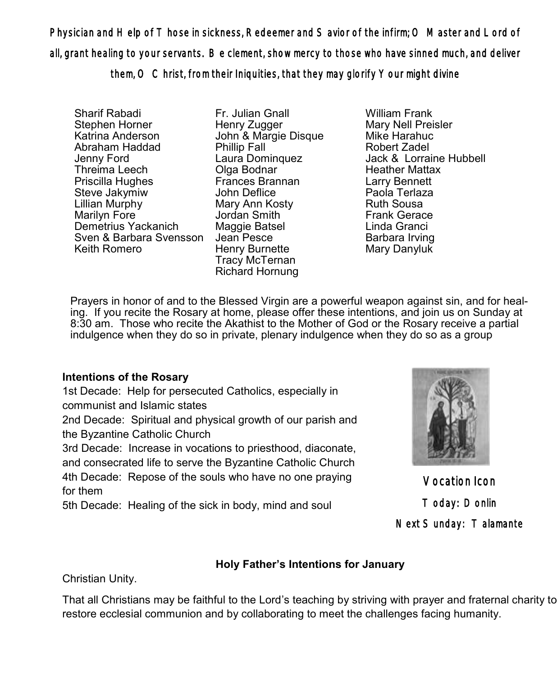Physician and Help of Those in sickness, Redeemer and Savior of the infirm; O Master and Lord of all, grant healing to your servants. Be clement, show mercy to those who have sinned much, and deliver

them, O Christ, from their Iniquities, that they may glorify Your might divine

Sharif Rabadi Stephen Horner Katrina Anderson Abraham Haddad Jenny Ford Threima Leech Priscilla Hughes Steve Jakymiw Lillian Murphy Marilyn Fore Demetrius Yackanich Sven & Barbara Svensson Jean Pesce Keith Romero

Fr. Julian Gnall Henry Zugger John & Margie Disque Phillip Fall Laura Dominquez Olga Bodnar Frances Brannan John Deflice Mary Ann Kosty Jordan Smith Maggie Batsel Henry Burnette Tracy McTernan Richard Hornung

William Frank Mary Nell Preisler Mike Harahuc Robert Zadel Jack & Lorraine Hubbell Heather Mattax Larry Bennett Paola Terlaza Ruth Sousa Frank Gerace Linda Granci Barbara Irving Mary Danyluk

Prayers in honor of and to the Blessed Virgin are a powerful weapon against sin, and for healing. If you recite the Rosary at home, please offer these intentions, and join us on Sunday at 8:30 am. Those who recite the Akathist to the Mother of God or the Rosary receive a partial indulgence when they do so in private, plenary indulgence when they do so as a group

# **Intentions of the Rosary**

1st Decade: Help for persecuted Catholics, especially in communist and Islamic states

2nd Decade: Spiritual and physical growth of our parish and the Byzantine Catholic Church

3rd Decade: Increase in vocations to priesthood, diaconate, and consecrated life to serve the Byzantine Catholic Church 4th Decade: Repose of the souls who have no one praying for them

5th Decade: Healing of the sick in body, mind and soul



Vocation Icon Today: Donlin Next Sunday: Talamante

# **Holy Father's Intentions for January**

Christian Unity.

That all Christians may be faithful to the Lord's teaching by striving with prayer and fraternal charity to restore ecclesial communion and by collaborating to meet the challenges facing humanity.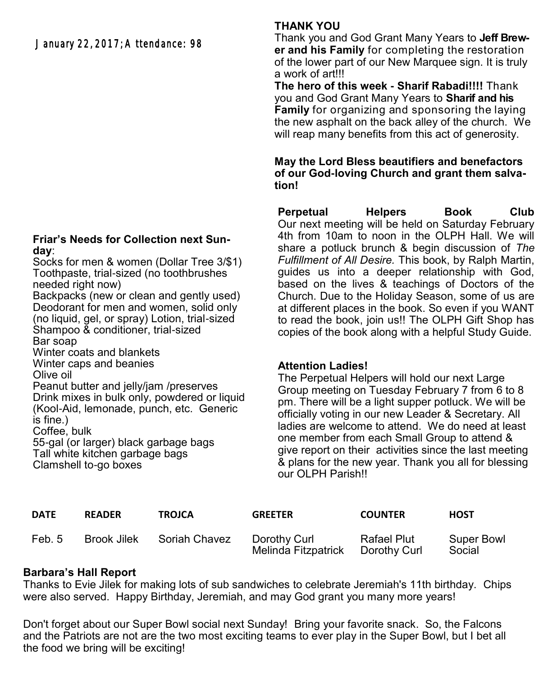January 22, 2017; Attendance: 98

### **Friar's Needs for Collection next Sunday**:

Socks for men & women (Dollar Tree 3/\$1) Toothpaste, trial-sized (no toothbrushes needed right now) Backpacks (new or clean and gently used) Deodorant for men and women, solid only (no liquid, gel, or spray) Lotion, trial-sized Shampoo & conditioner, trial-sized Bar soap Winter coats and blankets Winter caps and beanies Olive oil Peanut butter and jelly/jam /preserves Drink mixes in bulk only, powdered or liquid

(Kool-Aid, lemonade, punch, etc. Generic is fine.) Coffee, bulk

55-gal (or larger) black garbage bags Tall white kitchen garbage bags Clamshell to-go boxes

# **THANK YOU**

Thank you and God Grant Many Years to **Jeff Brewer and his Family** for completing the restoration of the lower part of our New Marquee sign. It is truly a work of art!!!

**The hero of this week - Sharif Rabadi!!!!** Thank you and God Grant Many Years to **Sharif and his Family** for organizing and sponsoring the laying the new asphalt on the back alley of the church. We will reap many benefits from this act of generosity.

## **May the Lord Bless beautifiers and benefactors of our God-loving Church and grant them salvation!**

**Perpetual Helpers Book Club** Our next meeting will be held on Saturday February 4th from 10am to noon in the OLPH Hall. We will share a potluck brunch & begin discussion of *The Fulfillment of All Desire.* This book, by Ralph Martin, guides us into a deeper relationship with God, based on the lives & teachings of Doctors of the Church. Due to the Holiday Season, some of us are at different places in the book. So even if you WANT to read the book, join us!! The OLPH Gift Shop has copies of the book along with a helpful Study Guide.

## **Attention Ladies!**

The Perpetual Helpers will hold our next Large Group meeting on Tuesday February 7 from 6 to 8 pm. There will be a light supper potluck. We will be officially voting in our new Leader & Secretary. All ladies are welcome to attend. We do need at least one member from each Small Group to attend & give report on their activities since the last meeting & plans for the new year. Thank you all for blessing our OLPH Parish!!

| <b>DATE</b> | <b>READER</b> | <b>TROJCA</b> | <b>GREETER</b>                      | <b>COUNTER</b>              | <b>HOST</b>          |
|-------------|---------------|---------------|-------------------------------------|-----------------------------|----------------------|
| Feb. 5      | Brook Jilek   | Soriah Chavez | Dorothy Curl<br>Melinda Fitzpatrick | Rafael Plut<br>Dorothy Curl | Super Bowl<br>Social |

# **Barbara's Hall Report**

Thanks to Evie Jilek for making lots of sub sandwiches to celebrate Jeremiah's 11th birthday. Chips were also served. Happy Birthday, Jeremiah, and may God grant you many more years!

Don't forget about our Super Bowl social next Sunday! Bring your favorite snack. So, the Falcons and the Patriots are not are the two most exciting teams to ever play in the Super Bowl, but I bet all the food we bring will be exciting!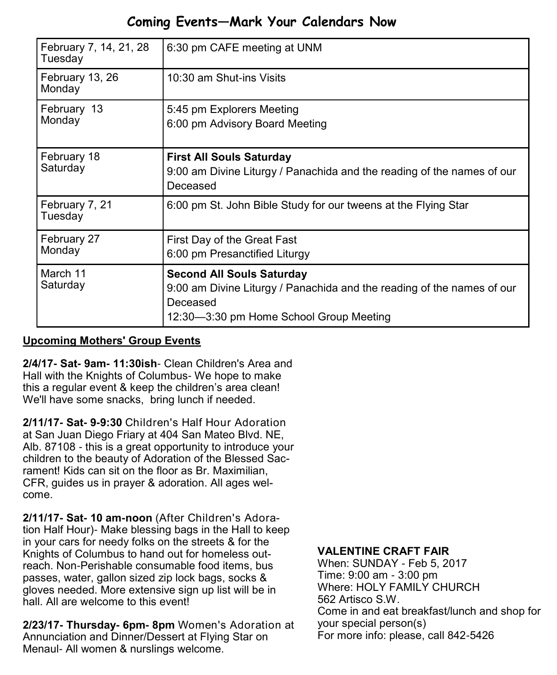# **Coming Events—Mark Your Calendars Now**

| February 7, 14, 21, 28<br>Tuesday | 6:30 pm CAFE meeting at UNM                                                                                                                                       |  |  |
|-----------------------------------|-------------------------------------------------------------------------------------------------------------------------------------------------------------------|--|--|
| February 13, 26<br>Monday         | 10:30 am Shut-ins Visits                                                                                                                                          |  |  |
| February 13<br>Monday             | 5:45 pm Explorers Meeting<br>6:00 pm Advisory Board Meeting                                                                                                       |  |  |
| February 18<br>Saturday           | <b>First All Souls Saturday</b><br>9:00 am Divine Liturgy / Panachida and the reading of the names of our<br>Deceased                                             |  |  |
| February 7, 21<br>Tuesday         | 6:00 pm St. John Bible Study for our tweens at the Flying Star                                                                                                    |  |  |
| February 27<br>Monday             | First Day of the Great Fast<br>6:00 pm Presanctified Liturgy                                                                                                      |  |  |
| March 11<br>Saturday              | <b>Second All Souls Saturday</b><br>9:00 am Divine Liturgy / Panachida and the reading of the names of our<br>Deceased<br>12:30-3:30 pm Home School Group Meeting |  |  |

# **Upcoming Mothers' Group Events**

**2/4/17- Sat- 9am- 11:30ish**- Clean Children's Area and Hall with the Knights of Columbus- We hope to make this a regular event & keep the children's area clean! We'll have some snacks, bring lunch if needed.

**2/11/17- Sat- 9-9:30** Children's Half Hour Adoration at San Juan Diego Friary at 404 San Mateo Blvd. NE, Alb. 87108 - this is a great opportunity to introduce your children to the beauty of Adoration of the Blessed Sacrament! Kids can sit on the floor as Br. Maximilian, CFR, guides us in prayer & adoration. All ages welcome.

**2/11/17- Sat- 10 am-noon** (After Children's Adoration Half Hour)- Make blessing bags in the Hall to keep in your cars for needy folks on the streets & for the Knights of Columbus to hand out for homeless outreach. Non-Perishable consumable food items, bus passes, water, gallon sized zip lock bags, socks & gloves needed. More extensive sign up list will be in hall. All are welcome to this event!

**2/23/17- Thursday- 6pm- 8pm** Women's Adoration at Annunciation and Dinner/Dessert at Flying Star on Menaul- All women & nurslings welcome.

## **VALENTINE CRAFT FAIR**

When: SUNDAY - Feb 5, 2017 Time: 9:00 am - 3:00 pm Where: HOLY FAMILY CHURCH 562 Artisco S.W. Come in and eat breakfast/lunch and shop for your special person(s) For more info: please, call 842-5426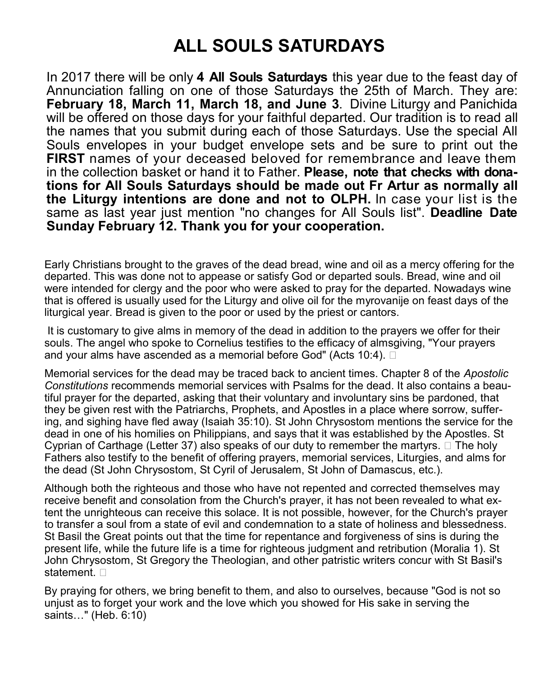# **ALL SOULS SATURDAYS**

In 2017 there will be only **4 All Souls Saturdays** this year due to the feast day of Annunciation falling on one of those Saturdays the 25th of March. They are: **February 18, March 11, March 18, and June 3**. Divine Liturgy and Panichida will be offered on those days for your faithful departed. Our tradition is to read all the names that you submit during each of those Saturdays. Use the special All Souls envelopes in your budget envelope sets and be sure to print out the **FIRST** names of your deceased beloved for remembrance and leave them in the collection basket or hand it to Father. **Please, note that checks with donations for All Souls Saturdays should be made out Fr Artur as normally all the Liturgy intentions are done and not to OLPH.** In case your list is the same as last year just mention "no changes for All Souls list". **Deadline Date Sunday February 12. Thank you for your cooperation.**

Early Christians brought to the graves of the dead bread, wine and oil as a mercy offering for the departed. This was done not to appease or satisfy God or departed souls. Bread, wine and oil were intended for clergy and the poor who were asked to pray for the departed. Nowadays wine that is offered is usually used for the Liturgy and olive oil for the myrovanije on feast days of the liturgical year. Bread is given to the poor or used by the priest or cantors.

It is customary to give alms in memory of the dead in addition to the prayers we offer for their souls. The angel who spoke to Cornelius testifies to the efficacy of almsgiving, "Your prayers and your alms have ascended as a memorial before God" (Acts 10:4).  $\square$ 

Memorial services for the dead may be traced back to ancient times. Chapter 8 of the *Apostolic Constitutions* recommends memorial services with Psalms for the dead. It also contains a beautiful prayer for the departed, asking that their voluntary and involuntary sins be pardoned, that they be given rest with the Patriarchs, Prophets, and Apostles in a place where sorrow, suffering, and sighing have fled away (Isaiah 35:10). St John Chrysostom mentions the service for the dead in one of his homilies on Philippians, and says that it was established by the Apostles. St Cyprian of Carthage (Letter 37) also speaks of our duty to remember the martyrs.  $\Box$  The holy Fathers also testify to the benefit of offering prayers, memorial services, Liturgies, and alms for the dead (St John Chrysostom, St Cyril of Jerusalem, St John of Damascus, etc.).

Although both the righteous and those who have not repented and corrected themselves may receive benefit and consolation from the Church's prayer, it has not been revealed to what extent the unrighteous can receive this solace. It is not possible, however, for the Church's prayer to transfer a soul from a state of evil and condemnation to a state of holiness and blessedness. St Basil the Great points out that the time for repentance and forgiveness of sins is during the present life, while the future life is a time for righteous judgment and retribution (Moralia 1). St John Chrysostom, St Gregory the Theologian, and other patristic writers concur with St Basil's statement.  $\square$ 

By praying for others, we bring benefit to them, and also to ourselves, because "God is not so unjust as to forget your work and the love which you showed for His sake in serving the saints…" (Heb. 6:10)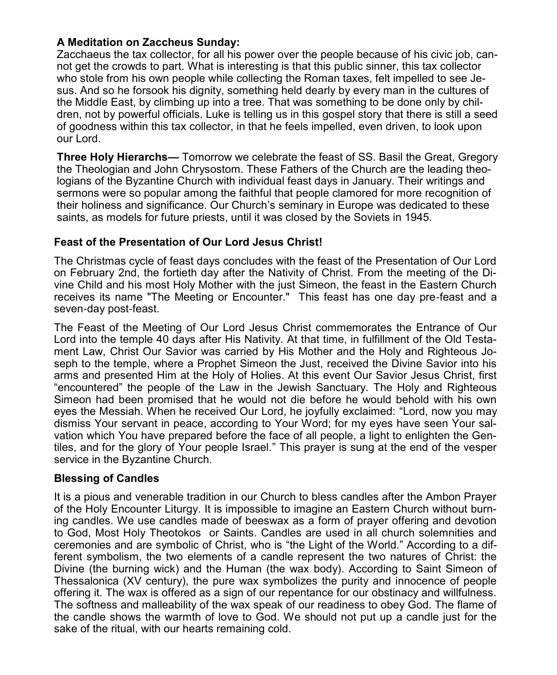## **A Meditation on Zaccheus Sunday:**

Zacchaeus the tax collector, for all his power over the people because of his civic job, cannot get the crowds to part. What is interesting is that this public sinner, this tax collector who stole from his own people while collecting the Roman taxes, felt impelled to see Jesus. And so he forsook his dignity, something held dearly by every man in the cultures of the Middle East, by climbing up into a tree. That was something to be done only by children, not by powerful officials. Luke is telling us in this gospel story that there is still a seed of goodness within this tax collector, in that he feels impelled, even driven, to look upon our Lord.

**Three Holy Hierarchs—** Tomorrow we celebrate the feast of SS. Basil the Great, Gregory the Theologian and John Chrysostom. These Fathers of the Church are the leading theologians of the Byzantine Church with individual feast days in January. Their writings and sermons were so popular among the faithful that people clamored for more recognition of their holiness and significance. Our Church's seminary in Europe was dedicated to these saints, as models for future priests, until it was closed by the Soviets in 1945.

## **Feast of the Presentation of Our Lord Jesus Christ!**

The Christmas cycle of feast days concludes with the feast of the Presentation of Our Lord on February 2nd, the fortieth day after the Nativity of Christ. From the meeting of the Divine Child and his most Holy Mother with the just Simeon, the feast in the Eastern Church receives its name "The Meeting or Encounter." This feast has one day pre-feast and a seven-day post-feast.

The Feast of the Meeting of Our Lord Jesus Christ commemorates the Entrance of Our Lord into the temple 40 days after His Nativity. At that time, in fulfillment of the Old Testament Law, Christ Our Savior was carried by His Mother and the Holy and Righteous Joseph to the temple, where a Prophet Simeon the Just, received the Divine Savior into his arms and presented Him at the Holy of Holies. At this event Our Savior Jesus Christ, first "encountered" the people of the Law in the Jewish Sanctuary. The Holy and Righteous Simeon had been promised that he would not die before he would behold with his own eyes the Messiah. When he received Our Lord, he joyfully exclaimed: "Lord, now you may dismiss Your servant in peace, according to Your Word; for my eyes have seen Your salvation which You have prepared before the face of all people, a light to enlighten the Gentiles, and for the glory of Your people Israel." This prayer is sung at the end of the vesper service in the Byzantine Church.

## **Blessing of Candles**

It is a pious and venerable tradition in our Church to bless candles after the Ambon Prayer of the Holy Encounter Liturgy. It is impossible to imagine an Eastern Church without burning candles. We use candles made of beeswax as a form of prayer offering and devotion to God, Most Holy Theotokos or Saints. Candles are used in all church solemnities and ceremonies and are symbolic of Christ, who is "the Light of the World." According to a different symbolism, the two elements of a candle represent the two natures of Christ: the Divine (the burning wick) and the Human (the wax body). According to Saint Simeon of Thessalonica (XV century), the pure wax symbolizes the purity and innocence of people offering it. The wax is offered as a sign of our repentance for our obstinacy and willfulness. The softness and malleability of the wax speak of our readiness to obey God. The flame of the candle shows the warmth of love to God. We should not put up a candle just for the sake of the ritual, with our hearts remaining cold.